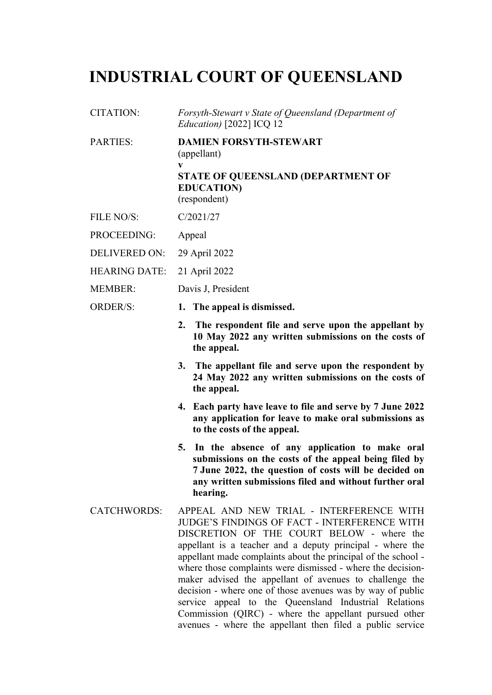# **INDUSTRIAL COURT OF QUEENSLAND**

- CITATION: *Forsyth-Stewart v State of Queensland (Department of Education)* [2022] ICQ 12
- PARTIES: **DAMIEN FORSYTH-STEWART** (appellant) **v STATE OF QUEENSLAND (DEPARTMENT OF EDUCATION)** (respondent)
- FILE NO/S: C/2021/27
- PROCEEDING: Appeal
- DELIVERED ON: 29 April 2022
- HEARING DATE: 21 April 2022
- MEMBER: Davis J, President
- ORDER/S: **1. The appeal is dismissed.**
	- **2. The respondent file and serve upon the appellant by 10 May 2022 any written submissions on the costs of the appeal.**
	- **3. The appellant file and serve upon the respondent by 24 May 2022 any written submissions on the costs of the appeal.**
	- **4. Each party have leave to file and serve by 7 June 2022 any application for leave to make oral submissions as to the costs of the appeal.**
	- **5. In the absence of any application to make oral submissions on the costs of the appeal being filed by 7 June 2022, the question of costs will be decided on any written submissions filed and without further oral hearing.**
- CATCHWORDS: APPEAL AND NEW TRIAL INTERFERENCE WITH JUDGE'S FINDINGS OF FACT - INTERFERENCE WITH DISCRETION OF THE COURT BELOW - where the appellant is a teacher and a deputy principal - where the appellant made complaints about the principal of the school where those complaints were dismissed - where the decisionmaker advised the appellant of avenues to challenge the decision - where one of those avenues was by way of public service appeal to the Queensland Industrial Relations Commission (QIRC) - where the appellant pursued other avenues - where the appellant then filed a public service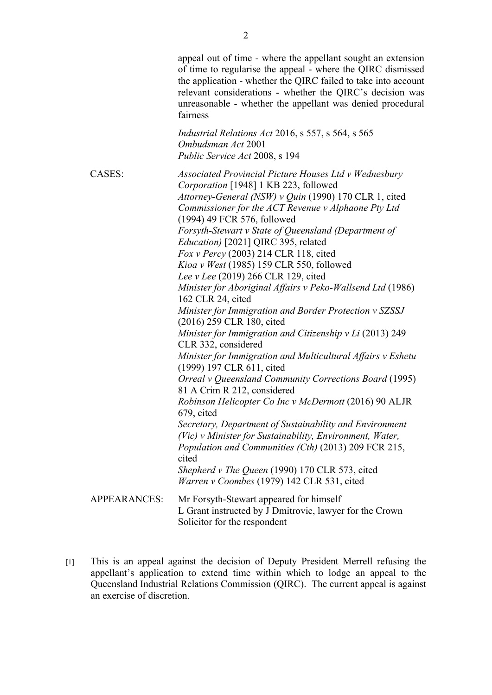appeal out of time - where the appellant sought an extension of time to regularise the appeal - where the QIRC dismissed the application - whether the QIRC failed to take into account relevant considerations - whether the QIRC's decision was unreasonable - whether the appellant was denied procedural fairness

*Industrial Relations Act* 2016, s 557, s 564, s 565 *Ombudsman Act* 2001 *Public Service Act* 2008, s 194

CASES: *Associated Provincial Picture Houses Ltd v Wednesbury Corporation* [1948] 1 KB 223, followed *Attorney-General (NSW) v Quin* (1990) 170 CLR 1, cited *Commissioner for the ACT Revenue v Alphaone Pty Ltd* (1994) 49 FCR 576, followed *Forsyth-Stewart v State of Queensland (Department of Education)* [2021] QIRC 395, related *Fox v Percy* (2003) 214 CLR 118, cited *Kioa v West* (1985) 159 CLR 550, followed *Lee v Lee* (2019) 266 CLR 129, cited *Minister for Aboriginal Affairs v Peko-Wallsend Ltd* (1986) 162 CLR 24, cited *Minister for Immigration and Border Protection v SZSSJ* (2016) 259 CLR 180, cited *Minister for Immigration and Citizenship v Li* (2013) 249 CLR 332, considered *Minister for Immigration and Multicultural Affairs v Eshetu* (1999) 197 CLR 611, cited *Orreal v Queensland Community Corrections Board* (1995) 81 A Crim R 212, considered *Robinson Helicopter Co Inc v McDermott* (2016) 90 ALJR 679, cited *Secretary, Department of Sustainability and Environment (Vic) v Minister for Sustainability, Environment, Water, Population and Communities (Cth)* (2013) 209 FCR 215, cited *Shepherd v The Queen* (1990) 170 CLR 573, cited *Warren v Coombes* (1979) 142 CLR 531, cited APPEARANCES: Mr Forsyth-Stewart appeared for himself L Grant instructed by J Dmitrovic, lawyer for the Crown Solicitor for the respondent

[1] This is an appeal against the decision of Deputy President Merrell refusing the appellant's application to extend time within which to lodge an appeal to the Queensland Industrial Relations Commission (QIRC). The current appeal is against an exercise of discretion.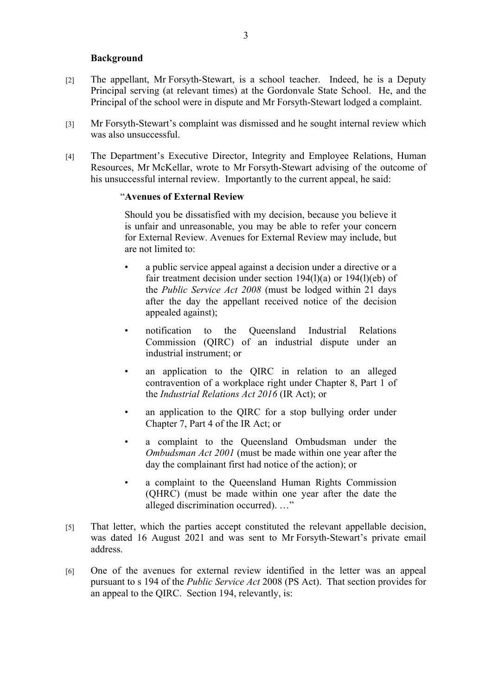# **Background**

- [2] The appellant, Mr Forsyth-Stewart, is a school teacher. Indeed, he is a Deputy Principal serving (at relevant times) at the Gordonvale State School. He, and the Principal of the school were in dispute and Mr Forsyth-Stewart lodged a complaint.
- [3] Mr Forsyth-Stewart's complaint was dismissed and he sought internal review which was also unsuccessful.
- [4] The Department's Executive Director, Integrity and Employee Relations, Human Resources, Mr McKellar, wrote to Mr Forsyth-Stewart advising of the outcome of his unsuccessful internal review. Importantly to the current appeal, he said:

# "**Avenues of External Review**

Should you be dissatisfied with my decision, because you believe it is unfair and unreasonable, you may be able to refer your concern for External Review. Avenues for External Review may include, but are not limited to:

- a public service appeal against a decision under a directive or a fair treatment decision under section 194(l)(a) or 194(l)(eb) of the *Public Service Act 2008* (must be lodged within 21 days after the day the appellant received notice of the decision appealed against);
- notification to the Queensland Industrial Relations Commission (QIRC) of an industrial dispute under an industrial instrument; or
- an application to the QIRC in relation to an alleged contravention of a workplace right under Chapter 8, Part 1 of the *Industrial Relations Act 2016* (IR Act); or
- an application to the QIRC for a stop bullying order under Chapter 7, Part 4 of the IR Act; or
- a complaint to the Queensland Ombudsman under the *Ombudsman Act 2001* (must be made within one year after the day the complainant first had notice of the action); or
- a complaint to the Queensland Human Rights Commission (QHRC) (must be made within one year after the date the alleged discrimination occurred). …"
- [5] That letter, which the parties accept constituted the relevant appellable decision, was dated 16 August 2021 and was sent to Mr Forsyth-Stewart's private email address.
- [6] One of the avenues for external review identified in the letter was an appeal pursuant to s 194 of the *Public Service Act* 2008 (PS Act). That section provides for an appeal to the QIRC. Section 194, relevantly, is: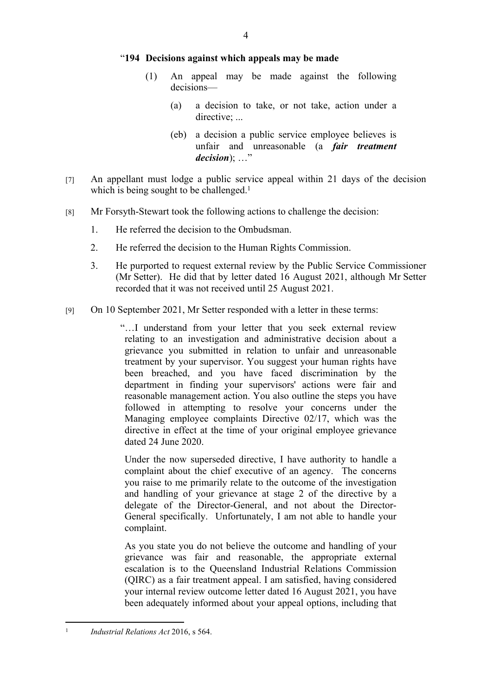#### "**194 Decisions against which appeals may be made**

- (1) An appeal may be made against the following decisions—
	- (a) a decision to take, or not take, action under a directive: ...
	- (eb) a decision a public service employee believes is unfair and unreasonable (a *fair treatment decision*); …"
- [7] An appellant must lodge a public service appeal within 21 days of the decision which is being sought to be challenged.<sup>1</sup>
- [8] Mr Forsyth-Stewart took the following actions to challenge the decision:
	- 1. He referred the decision to the Ombudsman.
	- 2. He referred the decision to the Human Rights Commission.
	- 3. He purported to request external review by the Public Service Commissioner (Mr Setter). He did that by letter dated 16 August 2021, although Mr Setter recorded that it was not received until 25 August 2021.
- [9] On 10 September 2021, Mr Setter responded with a letter in these terms:

"…I understand from your letter that you seek external review relating to an investigation and administrative decision about a grievance you submitted in relation to unfair and unreasonable treatment by your supervisor. You suggest your human rights have been breached, and you have faced discrimination by the department in finding your supervisors' actions were fair and reasonable management action. You also outline the steps you have followed in attempting to resolve your concerns under the Managing employee complaints Directive 02/17, which was the directive in effect at the time of your original employee grievance dated 24 June 2020.

Under the now superseded directive, I have authority to handle a complaint about the chief executive of an agency. The concerns you raise to me primarily relate to the outcome of the investigation and handling of your grievance at stage 2 of the directive by a delegate of the Director-General, and not about the Director-General specifically. Unfortunately, I am not able to handle your complaint.

As you state you do not believe the outcome and handling of your grievance was fair and reasonable, the appropriate external escalation is to the Queensland Industrial Relations Commission (QIRC) as a fair treatment appeal. I am satisfied, having considered your internal review outcome letter dated 16 August 2021, you have been adequately informed about your appeal options, including that

<sup>1</sup> *Industrial Relations Act* 2016, s 564.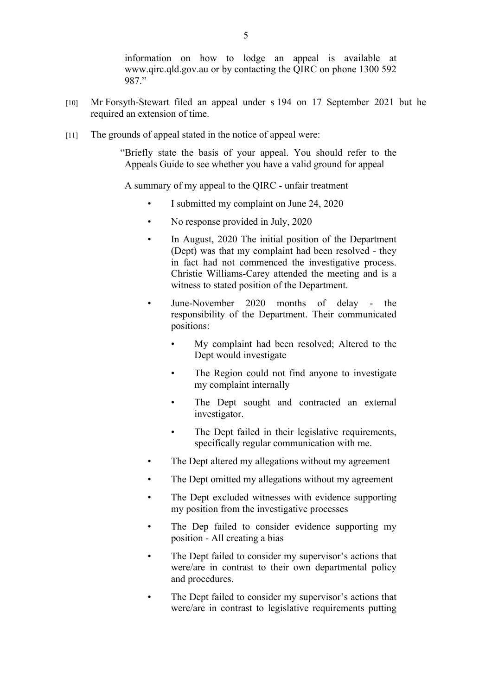information on how to lodge an appeal is available at www.qirc.qld.gov.au or by contacting the QIRC on phone 1300 592 987."

- [10] Mr Forsyth-Stewart filed an appeal under s 194 on 17 September 2021 but he required an extension of time.
- [11] The grounds of appeal stated in the notice of appeal were:

"Briefly state the basis of your appeal. You should refer to the Appeals Guide to see whether you have a valid ground for appeal

A summary of my appeal to the QIRC - unfair treatment

- I submitted my complaint on June 24, 2020
- No response provided in July, 2020
- In August, 2020 The initial position of the Department (Dept) was that my complaint had been resolved - they in fact had not commenced the investigative process. Christie Williams-Carey attended the meeting and is a witness to stated position of the Department.
- June-November 2020 months of delay the responsibility of the Department. Their communicated positions:
	- My complaint had been resolved; Altered to the Dept would investigate
	- The Region could not find anyone to investigate my complaint internally
	- The Dept sought and contracted an external investigator.
	- The Dept failed in their legislative requirements, specifically regular communication with me.
- The Dept altered my allegations without my agreement
- The Dept omitted my allegations without my agreement
- The Dept excluded witnesses with evidence supporting my position from the investigative processes
- The Dep failed to consider evidence supporting my position - All creating a bias
- The Dept failed to consider my supervisor's actions that were/are in contrast to their own departmental policy and procedures.
- The Dept failed to consider my supervisor's actions that were/are in contrast to legislative requirements putting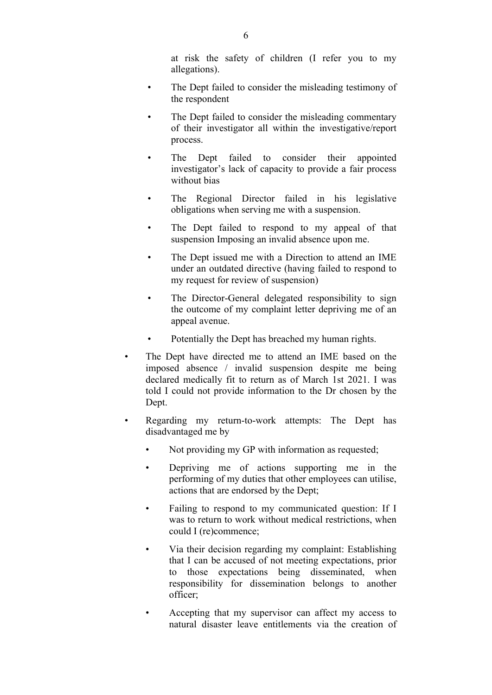at risk the safety of children (I refer you to my allegations).

- The Dept failed to consider the misleading testimony of the respondent
- The Dept failed to consider the misleading commentary of their investigator all within the investigative/report process.
- The Dept failed to consider their appointed investigator's lack of capacity to provide a fair process without bias
- The Regional Director failed in his legislative obligations when serving me with a suspension.
- The Dept failed to respond to my appeal of that suspension Imposing an invalid absence upon me.
- The Dept issued me with a Direction to attend an IME under an outdated directive (having failed to respond to my request for review of suspension)
- The Director-General delegated responsibility to sign the outcome of my complaint letter depriving me of an appeal avenue.
- Potentially the Dept has breached my human rights.
- The Dept have directed me to attend an IME based on the imposed absence / invalid suspension despite me being declared medically fit to return as of March 1st 2021. I was told I could not provide information to the Dr chosen by the Dept.
- Regarding my return-to-work attempts: The Dept has disadvantaged me by
	- Not providing my GP with information as requested;
	- Depriving me of actions supporting me in the performing of my duties that other employees can utilise, actions that are endorsed by the Dept;
	- Failing to respond to my communicated question: If I was to return to work without medical restrictions, when could I (re)commence;
	- Via their decision regarding my complaint: Establishing that I can be accused of not meeting expectations, prior to those expectations being disseminated, when responsibility for dissemination belongs to another officer;
	- Accepting that my supervisor can affect my access to natural disaster leave entitlements via the creation of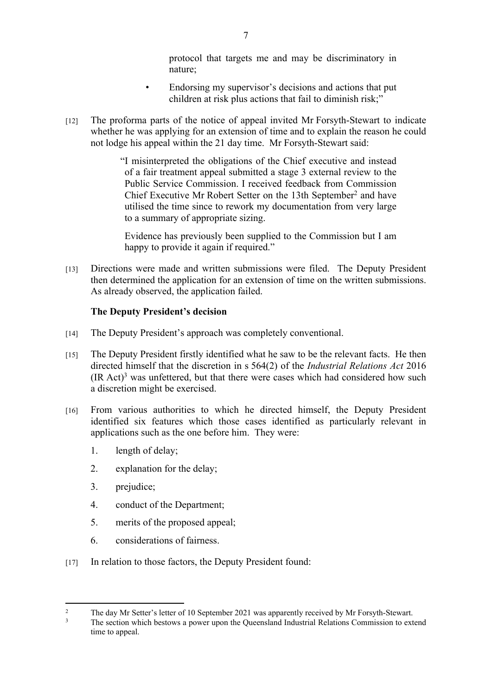protocol that targets me and may be discriminatory in nature;

- Endorsing my supervisor's decisions and actions that put children at risk plus actions that fail to diminish risk;"
- [12] The proforma parts of the notice of appeal invited Mr Forsyth-Stewart to indicate whether he was applying for an extension of time and to explain the reason he could not lodge his appeal within the 21 day time. Mr Forsyth-Stewart said:

"I misinterpreted the obligations of the Chief executive and instead of a fair treatment appeal submitted a stage 3 external review to the Public Service Commission. I received feedback from Commission Chief Executive Mr Robert Setter on the 13th September<sup>2</sup> and have utilised the time since to rework my documentation from very large to a summary of appropriate sizing.

Evidence has previously been supplied to the Commission but I am happy to provide it again if required."

[13] Directions were made and written submissions were filed. The Deputy President then determined the application for an extension of time on the written submissions. As already observed, the application failed.

# **The Deputy President's decision**

- [14] The Deputy President's approach was completely conventional.
- [15] The Deputy President firstly identified what he saw to be the relevant facts. He then directed himself that the discretion in s 564(2) of the *Industrial Relations Act* 2016  $(IR Act)<sup>3</sup>$  was unfettered, but that there were cases which had considered how such a discretion might be exercised.
- [16] From various authorities to which he directed himself, the Deputy President identified six features which those cases identified as particularly relevant in applications such as the one before him. They were:
	- 1. length of delay;
	- 2. explanation for the delay;
	- 3. prejudice;
	- 4. conduct of the Department;
	- 5. merits of the proposed appeal;
	- 6. considerations of fairness.
- [17] In relation to those factors, the Deputy President found:

<sup>2</sup> The day Mr Setter's letter of 10 September 2021 was apparently received by Mr Forsyth-Stewart.

<sup>3</sup> The section which bestows a power upon the Queensland Industrial Relations Commission to extend time to appeal.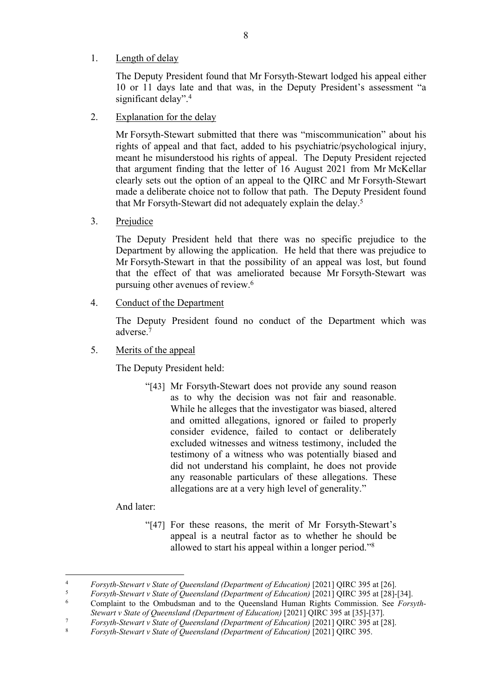# 1. Length of delay

The Deputy President found that Mr Forsyth-Stewart lodged his appeal either 10 or 11 days late and that was, in the Deputy President's assessment "a significant delay".<sup>4</sup>

2. Explanation for the delay

Mr Forsyth-Stewart submitted that there was "miscommunication" about his rights of appeal and that fact, added to his psychiatric/psychological injury, meant he misunderstood his rights of appeal. The Deputy President rejected that argument finding that the letter of 16 August 2021 from Mr McKellar clearly sets out the option of an appeal to the QIRC and Mr Forsyth-Stewart made a deliberate choice not to follow that path. The Deputy President found that Mr Forsyth-Stewart did not adequately explain the delay.<sup>5</sup>

3. Prejudice

The Deputy President held that there was no specific prejudice to the Department by allowing the application. He held that there was prejudice to Mr Forsyth-Stewart in that the possibility of an appeal was lost, but found that the effect of that was ameliorated because Mr Forsyth-Stewart was pursuing other avenues of review.<sup>6</sup>

4. Conduct of the Department

The Deputy President found no conduct of the Department which was adverse.<sup>7</sup>

5. Merits of the appeal

The Deputy President held:

"[43] Mr Forsyth-Stewart does not provide any sound reason as to why the decision was not fair and reasonable. While he alleges that the investigator was biased, altered and omitted allegations, ignored or failed to properly consider evidence, failed to contact or deliberately excluded witnesses and witness testimony, included the testimony of a witness who was potentially biased and did not understand his complaint, he does not provide any reasonable particulars of these allegations. These allegations are at a very high level of generality."

And later:

"[47] For these reasons, the merit of Mr Forsyth-Stewart's appeal is a neutral factor as to whether he should be allowed to start his appeal within a longer period."<sup>8</sup>

<sup>4</sup> *Forsyth-Stewart v State of Queensland (Department of Education)* [2021] QIRC 395 at [26].

<sup>5</sup> *Forsyth-Stewart v State of Queensland (Department of Education)* [2021] QIRC 395 at [28]-[34].

<sup>6</sup> Complaint to the Ombudsman and to the Queensland Human Rights Commission. See *Forsyth-Stewart v State of Queensland (Department of Education)* [2021] QIRC 395 at [35]-[37].

<sup>7</sup> *Forsyth-Stewart v State of Queensland (Department of Education)* [2021] QIRC 395 at [28].

<sup>8</sup> *Forsyth-Stewart v State of Queensland (Department of Education)* [2021] QIRC 395.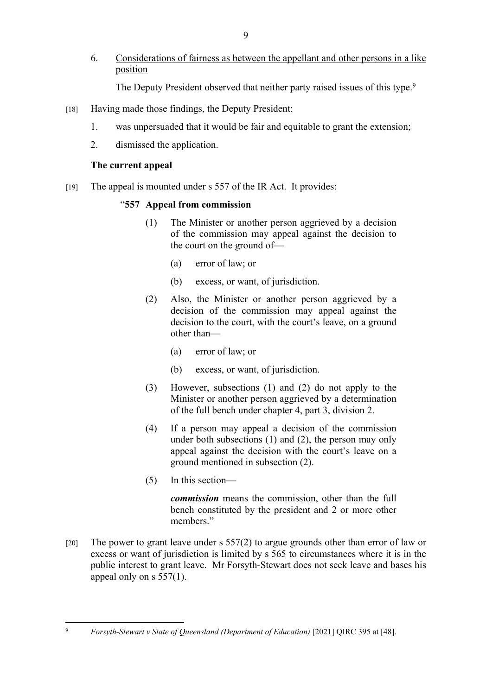6. Considerations of fairness as between the appellant and other persons in a like position

The Deputy President observed that neither party raised issues of this type.<sup>9</sup>

- [18] Having made those findings, the Deputy President:
	- 1. was unpersuaded that it would be fair and equitable to grant the extension;
	- 2. dismissed the application.

# **The current appeal**

[19] The appeal is mounted under s 557 of the IR Act. It provides:

# "**557 Appeal from commission**

- (1) The Minister or another person aggrieved by a decision of the commission may appeal against the decision to the court on the ground of—
	- (a) error of law; or
	- (b) excess, or want, of jurisdiction.
- (2) Also, the Minister or another person aggrieved by a decision of the commission may appeal against the decision to the court, with the court's leave, on a ground other than—
	- (a) error of law; or
	- (b) excess, or want, of jurisdiction.
- (3) However, subsections (1) and (2) do not apply to the Minister or another person aggrieved by a determination of the full bench under chapter 4, part 3, division 2.
- (4) If a person may appeal a decision of the commission under both subsections (1) and (2), the person may only appeal against the decision with the court's leave on a ground mentioned in subsection (2).
- (5) In this section—

*commission* means the commission, other than the full bench constituted by the president and 2 or more other members"

[20] The power to grant leave under s 557(2) to argue grounds other than error of law or excess or want of jurisdiction is limited by s 565 to circumstances where it is in the public interest to grant leave. Mr Forsyth-Stewart does not seek leave and bases his appeal only on s 557(1).

<sup>9</sup> *Forsyth-Stewart v State of Queensland (Department of Education)* [2021] QIRC 395 at [48].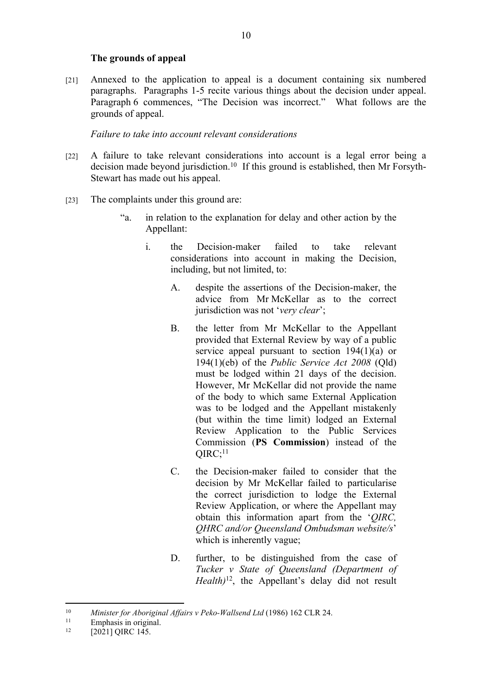# **The grounds of appeal**

[21] Annexed to the application to appeal is a document containing six numbered paragraphs. Paragraphs 1-5 recite various things about the decision under appeal. Paragraph 6 commences, "The Decision was incorrect." What follows are the grounds of appeal.

# *Failure to take into account relevant considerations*

- [22] A failure to take relevant considerations into account is a legal error being a decision made beyond jurisdiction.<sup>10</sup> If this ground is established, then Mr Forsyth-Stewart has made out his appeal.
- [23] The complaints under this ground are:
	- "a. in relation to the explanation for delay and other action by the Appellant:
		- i. the Decision-maker failed to take relevant considerations into account in making the Decision, including, but not limited, to:
			- A. despite the assertions of the Decision-maker, the advice from Mr McKellar as to the correct jurisdiction was not '*very clear*';
			- B. the letter from Mr McKellar to the Appellant provided that External Review by way of a public service appeal pursuant to section 194(1)(a) or 194(1)(eb) of the *Public Service Act 2008* (Qld) must be lodged within 21 days of the decision. However, Mr McKellar did not provide the name of the body to which same External Application was to be lodged and the Appellant mistakenly (but within the time limit) lodged an External Review Application to the Public Services Commission (**PS Commission**) instead of the  $OIRC$ ; $^{11}$
			- C. the Decision-maker failed to consider that the decision by Mr McKellar failed to particularise the correct jurisdiction to lodge the External Review Application, or where the Appellant may obtain this information apart from the '*QIRC, QHRC and/or Queensland Ombudsman website/s*' which is inherently vague;
			- D. further, to be distinguished from the case of *Tucker v State of Queensland (Department of Health)*<sup>12</sup>, the Appellant's delay did not result

<sup>10</sup> *Minister for Aboriginal Affairs v Peko-Wallsend Ltd* (1986) 162 CLR 24.

<sup>&</sup>lt;sup>11</sup> Emphasis in original.<br><sup>12</sup>  $[20211 \text{ OIRC } 145]$ 

<sup>[2021]</sup> QIRC 145.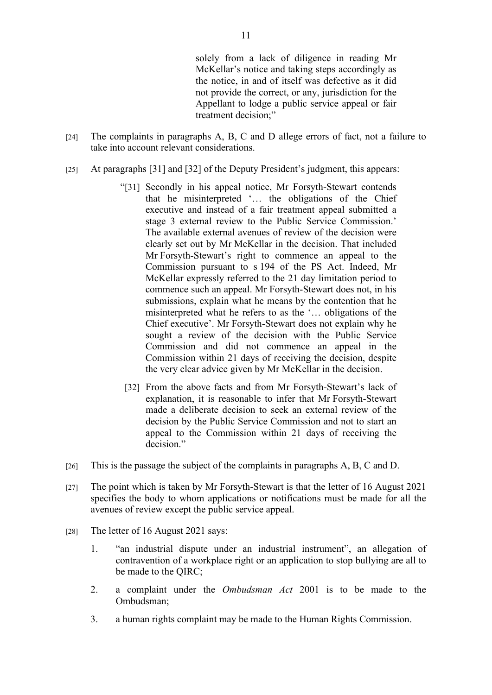solely from a lack of diligence in reading Mr McKellar's notice and taking steps accordingly as the notice, in and of itself was defective as it did not provide the correct, or any, jurisdiction for the Appellant to lodge a public service appeal or fair treatment decision;"

- [24] The complaints in paragraphs A, B, C and D allege errors of fact, not a failure to take into account relevant considerations.
- [25] At paragraphs [31] and [32] of the Deputy President's judgment, this appears:
	- "[31] Secondly in his appeal notice, Mr Forsyth-Stewart contends that he misinterpreted '… the obligations of the Chief executive and instead of a fair treatment appeal submitted a stage 3 external review to the Public Service Commission.' The available external avenues of review of the decision were clearly set out by Mr McKellar in the decision. That included Mr Forsyth-Stewart's right to commence an appeal to the Commission pursuant to s 194 of the PS Act. Indeed, Mr McKellar expressly referred to the 21 day limitation period to commence such an appeal. Mr Forsyth-Stewart does not, in his submissions, explain what he means by the contention that he misinterpreted what he refers to as the '… obligations of the Chief executive'. Mr Forsyth-Stewart does not explain why he sought a review of the decision with the Public Service Commission and did not commence an appeal in the Commission within 21 days of receiving the decision, despite the very clear advice given by Mr McKellar in the decision.
	- [32] From the above facts and from Mr Forsyth-Stewart's lack of explanation, it is reasonable to infer that Mr Forsyth-Stewart made a deliberate decision to seek an external review of the decision by the Public Service Commission and not to start an appeal to the Commission within 21 days of receiving the decision."
- [26] This is the passage the subject of the complaints in paragraphs A, B, C and D.
- [27] The point which is taken by Mr Forsyth-Stewart is that the letter of 16 August 2021 specifies the body to whom applications or notifications must be made for all the avenues of review except the public service appeal.
- [28] The letter of 16 August 2021 says:
	- 1. "an industrial dispute under an industrial instrument", an allegation of contravention of a workplace right or an application to stop bullying are all to be made to the QIRC;
	- 2. a complaint under the *Ombudsman Act* 2001 is to be made to the Ombudsman;
	- 3. a human rights complaint may be made to the Human Rights Commission.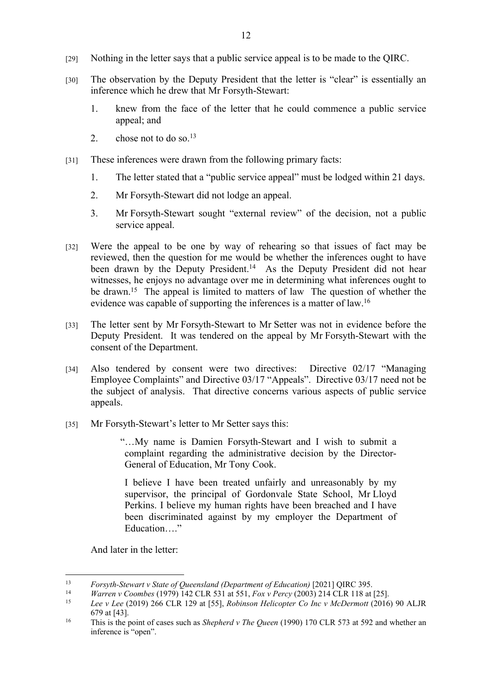- [29] Nothing in the letter says that a public service appeal is to be made to the QIRC.
- [30] The observation by the Deputy President that the letter is "clear" is essentially an inference which he drew that Mr Forsyth-Stewart:
	- 1. knew from the face of the letter that he could commence a public service appeal; and
	- 2. chose not to do so. $^{13}$
- [31] These inferences were drawn from the following primary facts:
	- 1. The letter stated that a "public service appeal" must be lodged within 21 days.
	- 2. Mr Forsyth-Stewart did not lodge an appeal.
	- 3. Mr Forsyth-Stewart sought "external review" of the decision, not a public service appeal.
- [32] Were the appeal to be one by way of rehearing so that issues of fact may be reviewed, then the question for me would be whether the inferences ought to have been drawn by the Deputy President.<sup>14</sup> As the Deputy President did not hear witnesses, he enjoys no advantage over me in determining what inferences ought to be drawn.<sup>15</sup> The appeal is limited to matters of law The question of whether the evidence was capable of supporting the inferences is a matter of law.<sup>16</sup>
- [33] The letter sent by Mr Forsyth-Stewart to Mr Setter was not in evidence before the Deputy President. It was tendered on the appeal by Mr Forsyth-Stewart with the consent of the Department.
- [34] Also tendered by consent were two directives: Directive 02/17 "Managing Employee Complaints" and Directive 03/17 "Appeals". Directive 03/17 need not be the subject of analysis. That directive concerns various aspects of public service appeals.
- [35] Mr Forsyth-Stewart's letter to Mr Setter says this:

"…My name is Damien Forsyth-Stewart and I wish to submit a complaint regarding the administrative decision by the Director-General of Education, Mr Tony Cook.

I believe I have been treated unfairly and unreasonably by my supervisor, the principal of Gordonvale State School, Mr Lloyd Perkins. I believe my human rights have been breached and I have been discriminated against by my employer the Department of Education…."

And later in the letter:

<sup>13</sup> *Forsyth-Stewart v State of Queensland (Department of Education)* [2021] QIRC 395.

<sup>14</sup> *Warren v Coombes* (1979) 142 CLR 531 at 551, *Fox v Percy* (2003) 214 CLR 118 at [25].

<sup>15</sup> *Lee v Lee* (2019) 266 CLR 129 at [55], *Robinson Helicopter Co Inc v McDermott* (2016) 90 ALJR 679 at [43].

<sup>16</sup> This is the point of cases such as *Shepherd v The Queen* (1990) 170 CLR 573 at 592 and whether an inference is "open".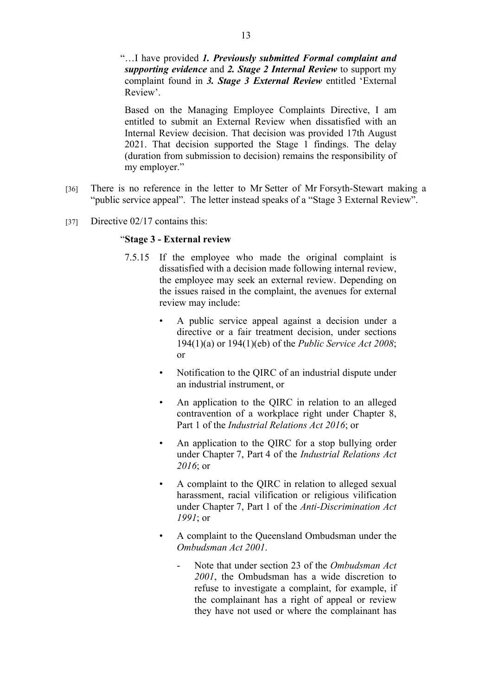"…I have provided *1. Previously submitted Formal complaint and supporting evidence* and *2. Stage 2 Internal Review* to support my complaint found in *3. Stage 3 External Review* entitled 'External Review'.

Based on the Managing Employee Complaints Directive, I am entitled to submit an External Review when dissatisfied with an Internal Review decision. That decision was provided 17th August 2021. That decision supported the Stage 1 findings. The delay (duration from submission to decision) remains the responsibility of my employer."

- [36] There is no reference in the letter to Mr Setter of Mr Forsyth-Stewart making a "public service appeal". The letter instead speaks of a "Stage 3 External Review".
- [37] Directive 02/17 contains this:

#### "**Stage 3 - External review**

- 7.5.15 If the employee who made the original complaint is dissatisfied with a decision made following internal review, the employee may seek an external review. Depending on the issues raised in the complaint, the avenues for external review may include:
	- A public service appeal against a decision under a directive or a fair treatment decision, under sections 194(1)(a) or 194(1)(eb) of the *Public Service Act 2008*; or
	- Notification to the QIRC of an industrial dispute under an industrial instrument, or
	- An application to the OIRC in relation to an alleged contravention of a workplace right under Chapter 8, Part 1 of the *Industrial Relations Act 2016*; or
	- An application to the QIRC for a stop bullying order under Chapter 7, Part 4 of the *Industrial Relations Act 2016*; or
	- A complaint to the QIRC in relation to alleged sexual harassment, racial vilification or religious vilification under Chapter 7, Part 1 of the *Anti-Discrimination Act 1991*; or
	- A complaint to the Queensland Ombudsman under the *Ombudsman Act 2001*.
		- Note that under section 23 of the *Ombudsman Act 2001*, the Ombudsman has a wide discretion to refuse to investigate a complaint, for example, if the complainant has a right of appeal or review they have not used or where the complainant has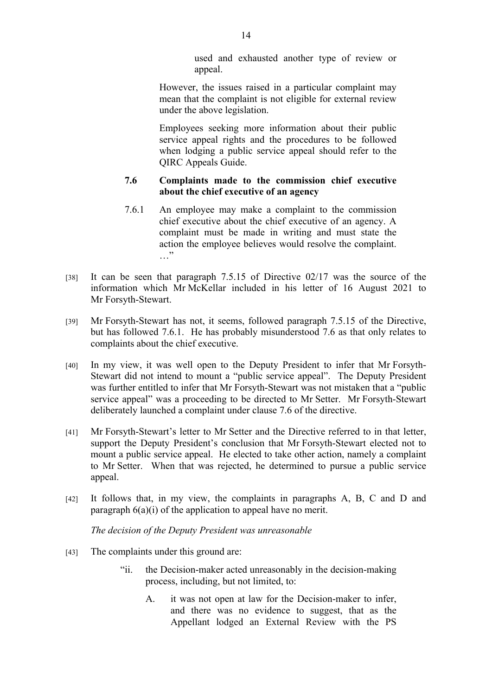used and exhausted another type of review or appeal.

However, the issues raised in a particular complaint may mean that the complaint is not eligible for external review under the above legislation.

Employees seeking more information about their public service appeal rights and the procedures to be followed when lodging a public service appeal should refer to the QIRC Appeals Guide.

# **7.6 Complaints made to the commission chief executive about the chief executive of an agency**

- 7.6.1 An employee may make a complaint to the commission chief executive about the chief executive of an agency. A complaint must be made in writing and must state the action the employee believes would resolve the complaint. …"
- [38] It can be seen that paragraph 7.5.15 of Directive 02/17 was the source of the information which Mr McKellar included in his letter of 16 August 2021 to Mr Forsyth-Stewart.
- [39] Mr Forsyth-Stewart has not, it seems, followed paragraph 7.5.15 of the Directive, but has followed 7.6.1. He has probably misunderstood 7.6 as that only relates to complaints about the chief executive.
- [40] In my view, it was well open to the Deputy President to infer that Mr Forsyth-Stewart did not intend to mount a "public service appeal". The Deputy President was further entitled to infer that Mr Forsyth-Stewart was not mistaken that a "public service appeal" was a proceeding to be directed to Mr Setter. Mr Forsyth-Stewart deliberately launched a complaint under clause 7.6 of the directive.
- [41] Mr Forsyth-Stewart's letter to Mr Setter and the Directive referred to in that letter, support the Deputy President's conclusion that Mr Forsyth-Stewart elected not to mount a public service appeal. He elected to take other action, namely a complaint to Mr Setter. When that was rejected, he determined to pursue a public service appeal.
- [42] It follows that, in my view, the complaints in paragraphs A, B, C and D and paragraph  $6(a)(i)$  of the application to appeal have no merit.

*The decision of the Deputy President was unreasonable*

- [43] The complaints under this ground are:
	- "ii. the Decision-maker acted unreasonably in the decision-making process, including, but not limited, to:
		- A. it was not open at law for the Decision-maker to infer, and there was no evidence to suggest, that as the Appellant lodged an External Review with the PS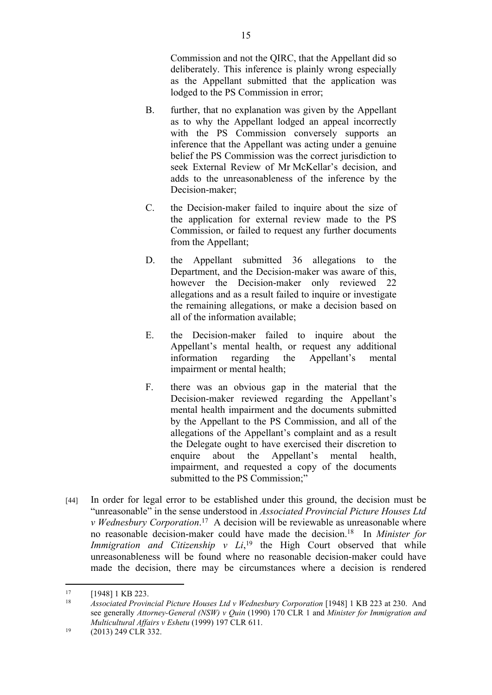Commission and not the QIRC, that the Appellant did so deliberately. This inference is plainly wrong especially as the Appellant submitted that the application was lodged to the PS Commission in error;

- B. further, that no explanation was given by the Appellant as to why the Appellant lodged an appeal incorrectly with the PS Commission conversely supports an inference that the Appellant was acting under a genuine belief the PS Commission was the correct jurisdiction to seek External Review of Mr McKellar's decision, and adds to the unreasonableness of the inference by the Decision-maker;
- C. the Decision-maker failed to inquire about the size of the application for external review made to the PS Commission, or failed to request any further documents from the Appellant;
- D. the Appellant submitted 36 allegations to the Department, and the Decision-maker was aware of this, however the Decision-maker only reviewed 22 allegations and as a result failed to inquire or investigate the remaining allegations, or make a decision based on all of the information available;
- E. the Decision-maker failed to inquire about the Appellant's mental health, or request any additional information regarding the Appellant's mental impairment or mental health;
- F. there was an obvious gap in the material that the Decision-maker reviewed regarding the Appellant's mental health impairment and the documents submitted by the Appellant to the PS Commission, and all of the allegations of the Appellant's complaint and as a result the Delegate ought to have exercised their discretion to enquire about the Appellant's mental health, impairment, and requested a copy of the documents submitted to the PS Commission;"
- [44] In order for legal error to be established under this ground, the decision must be "unreasonable" in the sense understood in *Associated Provincial Picture Houses Ltd v Wednesbury Corporation*. <sup>17</sup> A decision will be reviewable as unreasonable where no reasonable decision-maker could have made the decision.<sup>18</sup> In *Minister for Immigration and Citizenship v Li*,<sup>19</sup> the High Court observed that while unreasonableness will be found where no reasonable decision-maker could have made the decision, there may be circumstances where a decision is rendered

 $17$  [1948] 1 KB 223.

<sup>18</sup> *Associated Provincial Picture Houses Ltd v Wednesbury Corporation* [1948] 1 KB 223 at 230. And see generally *Attorney-General (NSW) v Quin* (1990) 170 CLR 1 and *Minister for Immigration and Multicultural Affairs v Eshetu* (1999) 197 CLR 611.

 $19$  (2013) 249 CLR 332.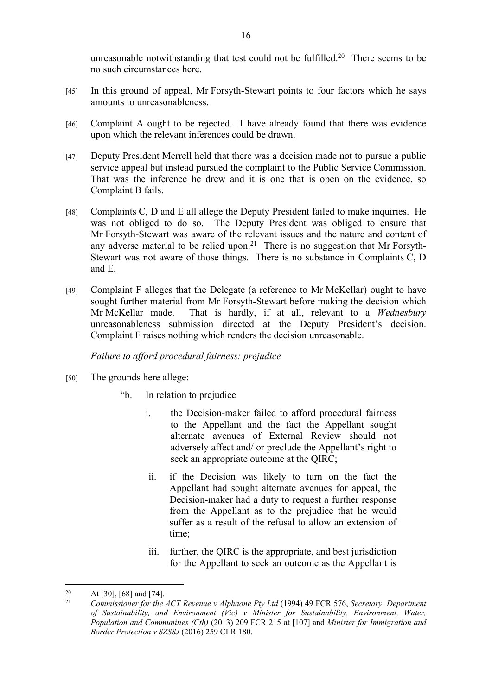unreasonable notwithstanding that test could not be fulfilled.<sup>20</sup> There seems to be no such circumstances here.

- [45] In this ground of appeal, Mr Forsyth-Stewart points to four factors which he says amounts to unreasonableness.
- [46] Complaint A ought to be rejected. I have already found that there was evidence upon which the relevant inferences could be drawn.
- [47] Deputy President Merrell held that there was a decision made not to pursue a public service appeal but instead pursued the complaint to the Public Service Commission. That was the inference he drew and it is one that is open on the evidence, so Complaint B fails.
- [48] Complaints C, D and E all allege the Deputy President failed to make inquiries. He was not obliged to do so. The Deputy President was obliged to ensure that Mr Forsyth-Stewart was aware of the relevant issues and the nature and content of any adverse material to be relied upon.<sup>21</sup> There is no suggestion that Mr Forsyth-Stewart was not aware of those things. There is no substance in Complaints C, D and E.
- [49] Complaint F alleges that the Delegate (a reference to Mr McKellar) ought to have sought further material from Mr Forsyth-Stewart before making the decision which Mr McKellar made. That is hardly, if at all, relevant to a *Wednesbury* unreasonableness submission directed at the Deputy President's decision. Complaint F raises nothing which renders the decision unreasonable.

*Failure to afford procedural fairness: prejudice*

- [50] The grounds here allege:
	- "b. In relation to prejudice
		- i. the Decision-maker failed to afford procedural fairness to the Appellant and the fact the Appellant sought alternate avenues of External Review should not adversely affect and/ or preclude the Appellant's right to seek an appropriate outcome at the QIRC;
		- ii. if the Decision was likely to turn on the fact the Appellant had sought alternate avenues for appeal, the Decision-maker had a duty to request a further response from the Appellant as to the prejudice that he would suffer as a result of the refusal to allow an extension of time;
		- iii. further, the QIRC is the appropriate, and best jurisdiction for the Appellant to seek an outcome as the Appellant is

<sup>&</sup>lt;sup>20</sup> At [30], [68] and [74].

<sup>21</sup> *Commissioner for the ACT Revenue v Alphaone Pty Ltd* (1994) 49 FCR 576, *Secretary, Department of Sustainability, and Environment (Vic) v Minister for Sustainability, Environment, Water, Population and Communities (Cth)* (2013) 209 FCR 215 at [107] and *Minister for Immigration and Border Protection v SZSSJ* (2016) 259 CLR 180.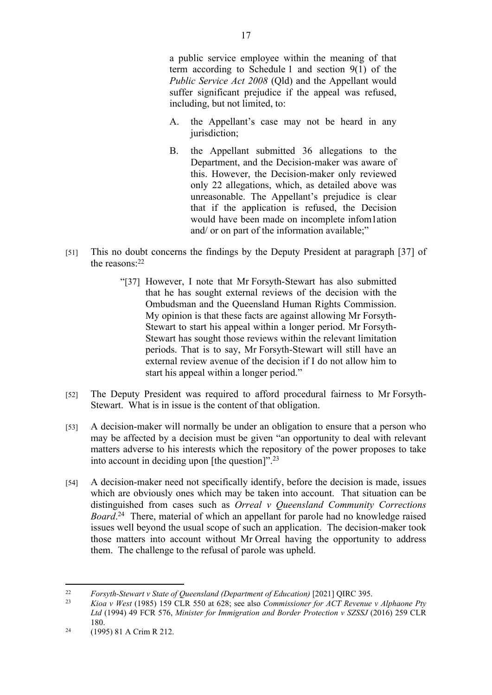a public service employee within the meaning of that term according to Schedule 1 and section 9(1) of the *Public Service Act 2008* (Qld) and the Appellant would suffer significant prejudice if the appeal was refused, including, but not limited, to:

- A. the Appellant's case may not be heard in any jurisdiction;
- B. the Appellant submitted 36 allegations to the Department, and the Decision-maker was aware of this. However, the Decision-maker only reviewed only 22 allegations, which, as detailed above was unreasonable. The Appellant's prejudice is clear that if the application is refused, the Decision would have been made on incomplete infom1ation and/ or on part of the information available;"
- [51] This no doubt concerns the findings by the Deputy President at paragraph [37] of the reasons:<sup>22</sup>
	- "[37] However, I note that Mr Forsyth-Stewart has also submitted that he has sought external reviews of the decision with the Ombudsman and the Queensland Human Rights Commission. My opinion is that these facts are against allowing Mr Forsyth-Stewart to start his appeal within a longer period. Mr Forsyth-Stewart has sought those reviews within the relevant limitation periods. That is to say, Mr Forsyth-Stewart will still have an external review avenue of the decision if I do not allow him to start his appeal within a longer period."
- [52] The Deputy President was required to afford procedural fairness to Mr Forsyth-Stewart. What is in issue is the content of that obligation.
- [53] A decision-maker will normally be under an obligation to ensure that a person who may be affected by a decision must be given "an opportunity to deal with relevant matters adverse to his interests which the repository of the power proposes to take into account in deciding upon [the question]".<sup>23</sup>
- [54] A decision-maker need not specifically identify, before the decision is made, issues which are obviously ones which may be taken into account. That situation can be distinguished from cases such as *Orreal v Queensland Community Corrections Board*. <sup>24</sup> There, material of which an appellant for parole had no knowledge raised issues well beyond the usual scope of such an application. The decision-maker took those matters into account without Mr Orreal having the opportunity to address them. The challenge to the refusal of parole was upheld.

<sup>22</sup> *Forsyth-Stewart v State of Queensland (Department of Education)* [2021] QIRC 395.

<sup>23</sup> *Kioa v West* (1985) 159 CLR 550 at 628; see also *Commissioner for ACT Revenue v Alphaone Pty Ltd* (1994) 49 FCR 576, *Minister for Immigration and Border Protection v SZSSJ* (2016) 259 CLR 180.

<sup>24</sup> (1995) 81 A Crim R 212.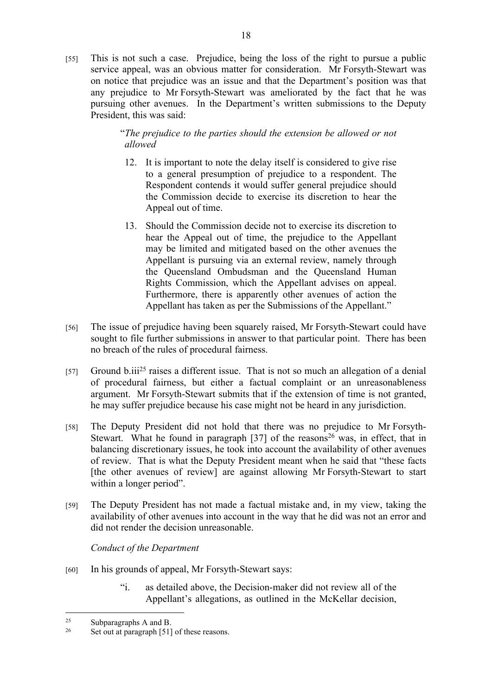[55] This is not such a case. Prejudice, being the loss of the right to pursue a public service appeal, was an obvious matter for consideration. Mr Forsyth-Stewart was on notice that prejudice was an issue and that the Department's position was that any prejudice to Mr Forsyth-Stewart was ameliorated by the fact that he was pursuing other avenues. In the Department's written submissions to the Deputy President, this was said:

> "*The prejudice to the parties should the extension be allowed or not allowed*

- 12. It is important to note the delay itself is considered to give rise to a general presumption of prejudice to a respondent. The Respondent contends it would suffer general prejudice should the Commission decide to exercise its discretion to hear the Appeal out of time.
- 13. Should the Commission decide not to exercise its discretion to hear the Appeal out of time, the prejudice to the Appellant may be limited and mitigated based on the other avenues the Appellant is pursuing via an external review, namely through the Queensland Ombudsman and the Queensland Human Rights Commission, which the Appellant advises on appeal. Furthermore, there is apparently other avenues of action the Appellant has taken as per the Submissions of the Appellant."
- [56] The issue of prejudice having been squarely raised, Mr Forsyth-Stewart could have sought to file further submissions in answer to that particular point. There has been no breach of the rules of procedural fairness.
- [57] Ground b.iii<sup>25</sup> raises a different issue. That is not so much an allegation of a denial of procedural fairness, but either a factual complaint or an unreasonableness argument. Mr Forsyth-Stewart submits that if the extension of time is not granted, he may suffer prejudice because his case might not be heard in any jurisdiction.
- [58] The Deputy President did not hold that there was no prejudice to Mr Forsyth-Stewart. What he found in paragraph  $[37]$  of the reasons<sup>26</sup> was, in effect, that in balancing discretionary issues, he took into account the availability of other avenues of review. That is what the Deputy President meant when he said that "these facts [the other avenues of review] are against allowing Mr Forsyth-Stewart to start within a longer period".
- [59] The Deputy President has not made a factual mistake and, in my view, taking the availability of other avenues into account in the way that he did was not an error and did not render the decision unreasonable.

*Conduct of the Department* 

- [60] In his grounds of appeal, Mr Forsyth-Stewart says:
	- "i. as detailed above, the Decision-maker did not review all of the Appellant's allegations, as outlined in the McKellar decision,

<sup>25</sup> Subparagraphs A and B.

<sup>26</sup> Set out at paragraph [51] of these reasons.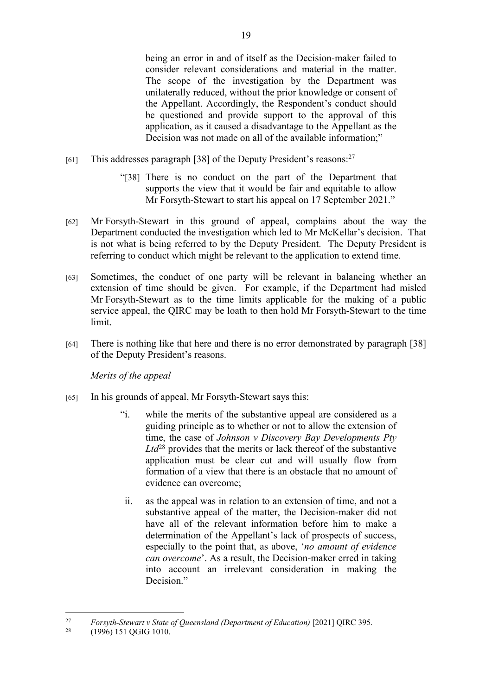being an error in and of itself as the Decision-maker failed to consider relevant considerations and material in the matter. The scope of the investigation by the Department was unilaterally reduced, without the prior knowledge or consent of the Appellant. Accordingly, the Respondent's conduct should be questioned and provide support to the approval of this application, as it caused a disadvantage to the Appellant as the Decision was not made on all of the available information;"

- [61] This addresses paragraph [38] of the Deputy President's reasons:<sup>27</sup>
	- "[38] There is no conduct on the part of the Department that supports the view that it would be fair and equitable to allow Mr Forsyth-Stewart to start his appeal on 17 September 2021."
- [62] Mr Forsyth-Stewart in this ground of appeal, complains about the way the Department conducted the investigation which led to Mr McKellar's decision. That is not what is being referred to by the Deputy President. The Deputy President is referring to conduct which might be relevant to the application to extend time.
- [63] Sometimes, the conduct of one party will be relevant in balancing whether an extension of time should be given. For example, if the Department had misled Mr Forsyth-Stewart as to the time limits applicable for the making of a public service appeal, the QIRC may be loath to then hold Mr Forsyth-Stewart to the time limit.
- [64] There is nothing like that here and there is no error demonstrated by paragraph [38] of the Deputy President's reasons.

*Merits of the appeal*

- [65] In his grounds of appeal, Mr Forsyth-Stewart says this:
	- "i. while the merits of the substantive appeal are considered as a guiding principle as to whether or not to allow the extension of time, the case of *Johnson v Discovery Bay Developments Pty Ltd*<sup>28</sup> provides that the merits or lack thereof of the substantive application must be clear cut and will usually flow from formation of a view that there is an obstacle that no amount of evidence can overcome;
	- ii. as the appeal was in relation to an extension of time, and not a substantive appeal of the matter, the Decision-maker did not have all of the relevant information before him to make a determination of the Appellant's lack of prospects of success, especially to the point that, as above, '*no amount of evidence can overcome*'. As a result, the Decision-maker erred in taking into account an irrelevant consideration in making the Decision."

<sup>27</sup> *Forsyth-Stewart v State of Queensland (Department of Education)* [2021] QIRC 395.

<sup>28</sup> (1996) 151 QGIG 1010.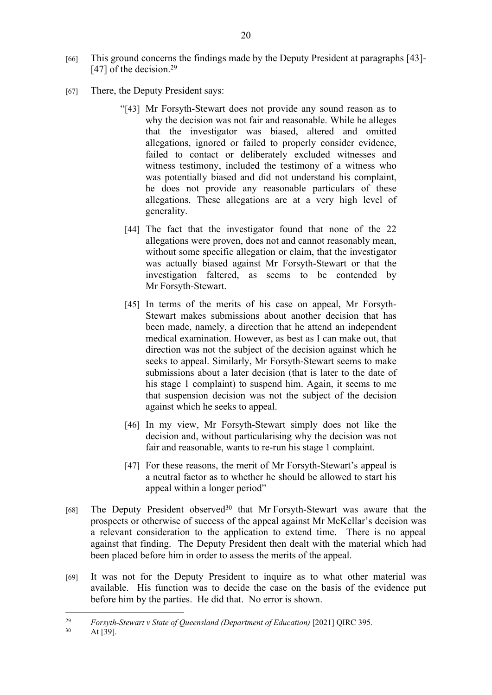- [66] This ground concerns the findings made by the Deputy President at paragraphs [43]- [47] of the decision.<sup>29</sup>
- [67] There, the Deputy President says:
	- "[43] Mr Forsyth-Stewart does not provide any sound reason as to why the decision was not fair and reasonable. While he alleges that the investigator was biased, altered and omitted allegations, ignored or failed to properly consider evidence, failed to contact or deliberately excluded witnesses and witness testimony, included the testimony of a witness who was potentially biased and did not understand his complaint, he does not provide any reasonable particulars of these allegations. These allegations are at a very high level of generality.
	- [44] The fact that the investigator found that none of the 22 allegations were proven, does not and cannot reasonably mean, without some specific allegation or claim, that the investigator was actually biased against Mr Forsyth-Stewart or that the investigation faltered, as seems to be contended by Mr Forsyth-Stewart.
	- [45] In terms of the merits of his case on appeal, Mr Forsyth-Stewart makes submissions about another decision that has been made, namely, a direction that he attend an independent medical examination. However, as best as I can make out, that direction was not the subject of the decision against which he seeks to appeal. Similarly, Mr Forsyth-Stewart seems to make submissions about a later decision (that is later to the date of his stage 1 complaint) to suspend him. Again, it seems to me that suspension decision was not the subject of the decision against which he seeks to appeal.
	- [46] In my view, Mr Forsyth-Stewart simply does not like the decision and, without particularising why the decision was not fair and reasonable, wants to re-run his stage 1 complaint.
	- [47] For these reasons, the merit of Mr Forsyth-Stewart's appeal is a neutral factor as to whether he should be allowed to start his appeal within a longer period"
- [68] The Deputy President observed<sup>30</sup> that Mr Forsyth-Stewart was aware that the prospects or otherwise of success of the appeal against Mr McKellar's decision was a relevant consideration to the application to extend time. There is no appeal against that finding. The Deputy President then dealt with the material which had been placed before him in order to assess the merits of the appeal.
- [69] It was not for the Deputy President to inquire as to what other material was available. His function was to decide the case on the basis of the evidence put before him by the parties. He did that. No error is shown.

<sup>29</sup> *Forsyth-Stewart v State of Queensland (Department of Education)* [2021] QIRC 395.

 $30$  At [39].